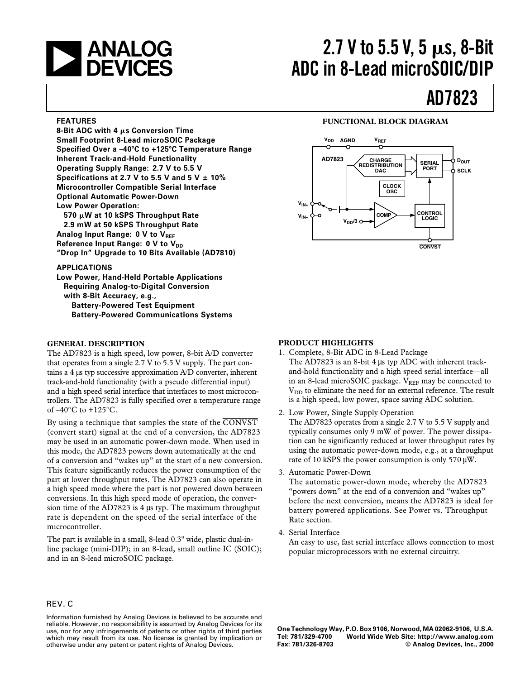

# **2.7 V to 5.5 V, 5 ps, 8-Bit ADC in 8-Lead microSOIC/DIP**

# **AD7823**

#### **FEATURES**

**8-Bit ADC with 4 s Conversion Time Small Footprint 8-Lead microSOIC Package Specified Over a –40**-**C to +125**-**C Temperature Range Inherent Track-and-Hold Functionality Operating Supply Range: 2.7 V to 5.5 V** Specifications at 2.7 V to 5.5 V and 5 V  $\pm$  10% **Microcontroller Compatible Serial Interface Optional Automatic Power-Down Low Power Operation: 570 W at 10 kSPS Throughput Rate**

**2.9 mW at 50 kSPS Throughput Rate Analog Input Range: 0 V to VREF Reference Input Range: 0 V to V<sub>DD</sub> "Drop In" Upgrade to 10 Bits Available (AD7810)**

#### **APPLICATIONS**

**Low Power, Hand-Held Portable Applications Requiring Analog-to-Digital Conversion with 8-Bit Accuracy, e.g., Battery-Powered Test Equipment Battery-Powered Communications Systems**

#### **GENERAL DESCRIPTION**

The AD7823 is a high speed, low power, 8-bit A/D converter that operates from a single 2.7 V to 5.5 V supply. The part contains a 4 µs typ successive approximation A/D converter, inherent track-and-hold functionality (with a pseudo differential input) and a high speed serial interface that interfaces to most microcontrollers. The AD7823 is fully specified over a temperature range of  $-40^{\circ}$ C to  $+125^{\circ}$ C.

By using a technique that samples the state of the *CONVST* (convert start) signal at the end of a conversion, the AD7823 may be used in an automatic power-down mode. When used in this mode, the AD7823 powers down automatically at the end of a conversion and "wakes up" at the start of a new conversion. This feature significantly reduces the power consumption of the part at lower throughput rates. The AD7823 can also operate in a high speed mode where the part is not powered down between conversions. In this high speed mode of operation, the conversion time of the AD7823 is 4 µs typ. The maximum throughput rate is dependent on the speed of the serial interface of the microcontroller.

The part is available in a small, 8-lead 0.3" wide, plastic dual-inline package (mini-DIP); in an 8-lead, small outline IC (SOIC); and in an 8-lead microSOIC package.

# **PRODUCT HIGHLIGHTS**

- 1. Complete, 8-Bit ADC in 8-Lead Package The AD7823 is an 8-bit 4 µs typ ADC with inherent trackand-hold functionality and a high speed serial interface—all in an 8-lead microSOIC package.  $V_{REF}$  may be connected to  $V<sub>DD</sub>$  to eliminate the need for an external reference. The result is a high speed, low power, space saving ADC solution.
- 2. Low Power, Single Supply Operation The AD7823 operates from a single 2.7 V to 5.5 V supply and typically consumes only 9 mW of power. The power dissipation can be significantly reduced at lower throughput rates by using the automatic power-down mode, e.g., at a throughput rate of 10 kSPS the power consumption is only 570 µW.
- 3. Automatic Power-Down

The automatic power-down mode, whereby the AD7823 "powers down" at the end of a conversion and "wakes up" before the next conversion, means the AD7823 is ideal for battery powered applications. See Power vs. Throughput Rate section.

4. Serial Interface

An easy to use, fast serial interface allows connection to most popular microprocessors with no external circuitry.

# REV. C

Information furnished by Analog Devices is believed to be accurate and reliable. However, no responsibility is assumed by Analog Devices for its use, nor for any infringements of patents or other rights of third parties which may result from its use. No license is granted by implication or otherwise under any patent or patent rights of Analog Devices.

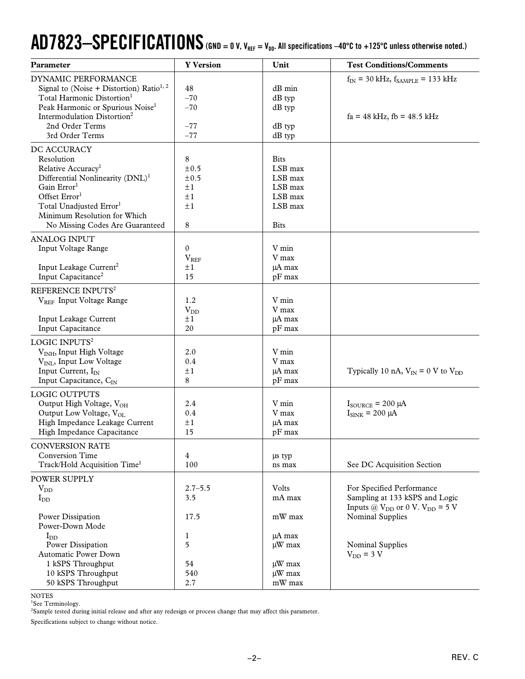# $AD7823-SPECIFICATIONS$  (GND  $= 0$  V, V<sub>REF</sub>  $=$  V<sub>DD</sub>. All specifications  $-40^{\circ}$ C to  $+125^{\circ}$ C unless otherwise noted.)

| Parameter                                                                                                                                                                                                                                                                     | <b>Y</b> Version                                                   | Unit                                                                              | <b>Test Conditions/Comments</b>                                                                         |
|-------------------------------------------------------------------------------------------------------------------------------------------------------------------------------------------------------------------------------------------------------------------------------|--------------------------------------------------------------------|-----------------------------------------------------------------------------------|---------------------------------------------------------------------------------------------------------|
| DYNAMIC PERFORMANCE<br>Signal to (Noise + Distortion) Ratio <sup>1, 2</sup><br>Total Harmonic Distortion <sup>1</sup><br>Peak Harmonic or Spurious Noise <sup>1</sup><br>Intermodulation Distortion <sup>2</sup><br>2nd Order Terms<br>3rd Order Terms                        | 48<br>$-70$<br>$-70$<br>$-77$<br>$-77$                             | $dB$ min<br>$dB$ typ<br>$dB$ typ<br>dB typ<br>$dB$ typ                            | $f_{IN}$ = 30 kHz, $f_{SAMPLE}$ = 133 kHz<br>$fa = 48$ kHz, $fb = 48.5$ kHz                             |
| DC ACCURACY<br>Resolution<br>Relative Accuracy <sup>1</sup><br>Differential Nonlinearity (DNL) <sup>1</sup><br>Gain Error <sup>1</sup><br>Offset Error <sup>1</sup><br>Total Unadjusted Error <sup>1</sup><br>Minimum Resolution for Which<br>No Missing Codes Are Guaranteed | 8<br>$\pm 0.5$<br>±0.5<br>$\pm 1$<br>$\pm 1$<br>$\pm 1$<br>$\,8\,$ | <b>Bits</b><br>LSB max<br>LSB max<br>LSB max<br>LSB max<br>LSB max<br><b>Bits</b> |                                                                                                         |
| <b>ANALOG INPUT</b><br>Input Voltage Range<br>Input Leakage Current <sup>2</sup><br>Input Capacitance <sup>2</sup>                                                                                                                                                            | $\mathbf{0}$<br>$\rm V_{REF}$<br>$\pm 1$<br>15                     | V min<br>V max<br>µA max<br>pF max                                                |                                                                                                         |
| REFERENCE INPUTS <sup>2</sup><br>V <sub>REF</sub> Input Voltage Range<br>Input Leakage Current<br>Input Capacitance                                                                                                                                                           | 1.2<br>$V_{DD}$<br>$\pm 1$<br>20                                   | V min<br>V max<br>µA max<br>pF max                                                |                                                                                                         |
| LOGIC INPUTS <sup>2</sup><br>V <sub>INH</sub> , Input High Voltage<br>V <sub>INL</sub> , Input Low Voltage<br>Input Current, I <sub>IN</sub><br>Input Capacitance, $C_{IN}$                                                                                                   | 2.0<br>0.4<br>$\pm 1$<br>8                                         | V min<br>V max<br>µA max<br>pF max                                                | Typically 10 nA, $V_{IN} = 0$ V to $V_{DD}$                                                             |
| <b>LOGIC OUTPUTS</b><br>Output High Voltage, V <sub>OH</sub><br>Output Low Voltage, V <sub>OL</sub><br>High Impedance Leakage Current<br>High Impedance Capacitance                                                                                                           | 2.4<br>0.4<br>$\pm 1$<br>15                                        | V min<br>V max<br>µA max<br>pF max                                                | $I_{\text{SOURCE}}$ = 200 µA<br>$I_{\text{SINK}}$ = 200 µA                                              |
| <b>CONVERSION RATE</b><br><b>Conversion Time</b><br>Track/Hold Acquisition Time <sup>1</sup>                                                                                                                                                                                  | $\overline{4}$<br>100                                              | us typ<br>ns max                                                                  | See DC Acquisition Section                                                                              |
| POWER SUPPLY<br>$V_{DD}$<br>$I_{DD}$                                                                                                                                                                                                                                          | $2.7 - 5.5$<br>3.5                                                 | Volts<br>mA max                                                                   | For Specified Performance<br>Sampling at 133 kSPS and Logic<br>Inputs @ $V_{DD}$ or 0 V. $V_{DD} = 5$ V |
| Power Dissipation<br>Power-Down Mode<br>$I_{DD}$<br>Power Dissipation<br><b>Automatic Power Down</b><br>1 kSPS Throughput<br>10 kSPS Throughput<br>50 kSPS Throughput                                                                                                         | 17.5<br>1<br>5<br>54<br>540<br>2.7                                 | mW max<br>µA max<br>$\mu$ W max<br>$\mu W$ max<br>µW max<br>mW max                | Nominal Supplies<br>Nominal Supplies<br>$V_{DD}$ = 3 V                                                  |

NOTES

<sup>1</sup>See Terminology.

2 Sample tested during initial release and after any redesign or process change that may affect this parameter.

Specifications subject to change without notice.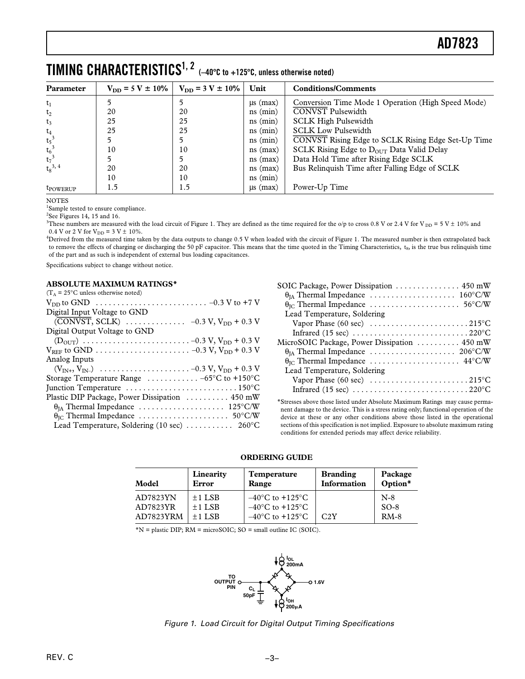| Parameter            | $V_{DD} = 5 V \pm 10\%$ | $V_{DD} = 3 V \pm 10\%$ | Unit           | <b>Conditions/Comments</b>                            |
|----------------------|-------------------------|-------------------------|----------------|-------------------------------------------------------|
| $t_1$                |                         |                         | $\mu s$ (max)  | Conversion Time Mode 1 Operation (High Speed Mode)    |
| $t_2$                | 20                      | 20                      | $ns$ ( $min$ ) | <b>CONVST Pulsewidth</b>                              |
| $t_3$                | 25                      | 25                      | $ns$ ( $min$ ) | <b>SCLK High Pulsewidth</b>                           |
| $\mathsf{t}_4$       | 25                      | 25                      | $ns$ ( $min$ ) | <b>SCLK Low Pulsewidth</b>                            |
| $t_5^3$              |                         |                         | $ns$ (min)     | CONVST Rising Edge to SCLK Rising Edge Set-Up Time    |
| $t_6^3$              | 10                      | 10                      | $ns$ (max)     | SCLK Rising Edge to $D_{\text{OUT}}$ Data Valid Delay |
| $t_7^3$              |                         |                         | $ns$ (max)     | Data Hold Time after Rising Edge SCLK                 |
| $t_8^{3, 4}$         | 20                      | 20                      | $ns$ (max)     | Bus Relinquish Time after Falling Edge of SCLK        |
|                      | 10                      | 10                      | $ns$ ( $min$ ) |                                                       |
| t <sub>powerup</sub> | 1.5                     | 1.5                     | $\mu s$ (max)  | Power-Up Time                                         |

NOTES

<sup>1</sup>Sample tested to ensure compliance.

 $2$ See Figures 14, 15 and 16.

<sup>3</sup>These numbers are measured with the load circuit of Figure 1. They are defined as the time required for the o/p to cross 0.8 V or 2.4 V for V<sub>DD</sub> = 5 V ± 10% and 0.4 V or 2 V for V<sub>DD</sub> = 3 V  $\pm$  10%.

<sup>4</sup>Derived from the measured time taken by the data outputs to change 0.5 V when loaded with the circuit of Figure 1. The measured number is then extrapolated back to remove the effects of charging or discharging the 50 pF capacitor. This means that the time quoted in the Timing Characteristics,  $t_8$ , is the true bus relinquish time of the part and as such is independent of external bus loading capacitances.

Specifications subject to change without notice.

#### **ABSOLUTE MAXIMUM RATINGS\***

| $(T_A = 25^{\circ}$ C unless otherwise noted)                                    |
|----------------------------------------------------------------------------------|
|                                                                                  |
| Digital Input Voltage to GND                                                     |
|                                                                                  |
| Digital Output Voltage to GND                                                    |
|                                                                                  |
|                                                                                  |
| Analog Inputs                                                                    |
|                                                                                  |
| Storage Temperature Range $\ldots \ldots \ldots -65$ °C to +150°C                |
| Junction Temperature $\dots\dots\dots\dots\dots\dots\dots\dots\dots150^{\circ}C$ |
| Plastic DIP Package, Power Dissipation  450 mW                                   |
|                                                                                  |
|                                                                                  |
| Lead Temperature, Soldering (10 sec) $\ldots \ldots \ldots$ 260°C                |
|                                                                                  |

\*Stresses above those listed under Absolute Maximum Ratings may cause permanent damage to the device. This is a stress rating only; functional operation of the device at these or any other conditions above those listed in the operational sections of this specification is not implied. Exposure to absolute maximum rating conditions for extended periods may affect device reliability.

#### **ORDERING GUIDE**

| Model     | Linearity<br>Error | <b>Temperature</b><br>Range         | <b>Branding</b><br>Information | Package<br>Option* |
|-----------|--------------------|-------------------------------------|--------------------------------|--------------------|
| AD7823YN  | $\pm$ 1 LSB        | $-40^{\circ}$ C to $+125^{\circ}$ C |                                | $N-8$              |
| AD7823YR  | $±1$ LSB           | $-40^{\circ}$ C to $+125^{\circ}$ C |                                | $SO-8$             |
| AD7823YRM | $+1$ LSB           | $-40^{\circ}$ C to $+125^{\circ}$ C | C2Y                            | $RM-8$             |

\*N = plastic DIP; RM = microSOIC; SO = small outline IC (SOIC).



Figure 1. Load Circuit for Digital Output Timing Specifications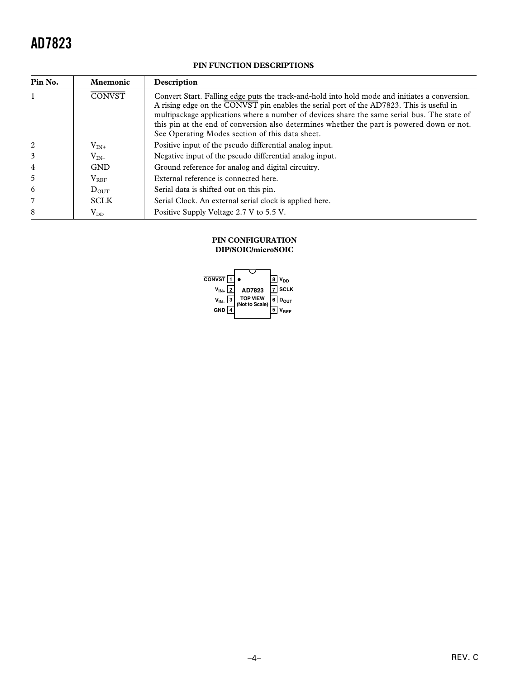# **PIN FUNCTION DESCRIPTIONS**

| Pin No.        | <b>Mnemonic</b>  | Description                                                                                                                                                                                                                                                                                                                                                                                                                                |
|----------------|------------------|--------------------------------------------------------------------------------------------------------------------------------------------------------------------------------------------------------------------------------------------------------------------------------------------------------------------------------------------------------------------------------------------------------------------------------------------|
|                | <b>CONVST</b>    | Convert Start. Falling edge puts the track-and-hold into hold mode and initiates a conversion.<br>A rising edge on the CONVST pin enables the serial port of the AD7823. This is useful in<br>multipackage applications where a number of devices share the same serial bus. The state of<br>this pin at the end of conversion also determines whether the part is powered down or not.<br>See Operating Modes section of this data sheet. |
| 2              | $V_{IN^+}$       | Positive input of the pseudo differential analog input.                                                                                                                                                                                                                                                                                                                                                                                    |
| 3              | $V_{IN}$         | Negative input of the pseudo differential analog input.                                                                                                                                                                                                                                                                                                                                                                                    |
| 4              | <b>GND</b>       | Ground reference for analog and digital circuitry.                                                                                                                                                                                                                                                                                                                                                                                         |
| 5              | $V_{REF}$        | External reference is connected here.                                                                                                                                                                                                                                                                                                                                                                                                      |
| 6              | $D_{\text{OUT}}$ | Serial data is shifted out on this pin.                                                                                                                                                                                                                                                                                                                                                                                                    |
| $\overline{7}$ | <b>SCLK</b>      | Serial Clock. An external serial clock is applied here.                                                                                                                                                                                                                                                                                                                                                                                    |
| 8              | $\rm V_{DD}$     | Positive Supply Voltage 2.7 V to 5.5 V.                                                                                                                                                                                                                                                                                                                                                                                                    |

## **PIN CONFIGURATION DIP/SOIC/microSOIC**

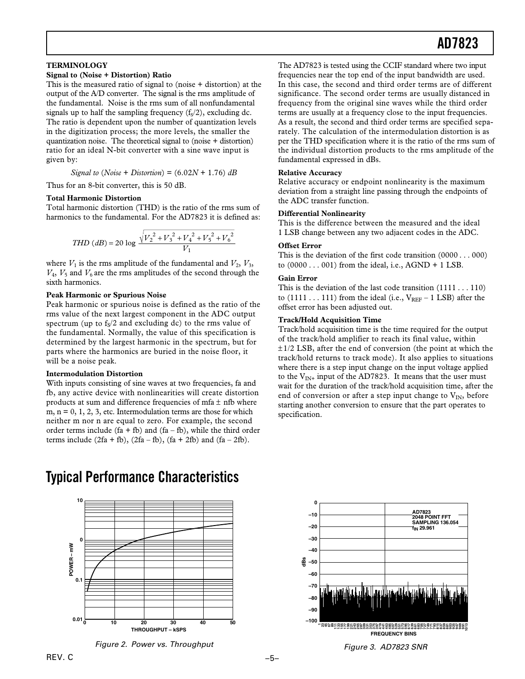#### **TERMINOLOGY**

#### **Signal to (Noise + Distortion) Ratio**

This is the measured ratio of signal to (noise + distortion) at the output of the A/D converter. The signal is the rms amplitude of the fundamental. Noise is the rms sum of all nonfundamental signals up to half the sampling frequency  $(f_s/2)$ , excluding dc. The ratio is dependent upon the number of quantization levels in the digitization process; the more levels, the smaller the quantization noise. The theoretical signal to (noise + distortion) ratio for an ideal N-bit converter with a sine wave input is given by:

*Signal to* (*Noise* + *Distortion*) = (6.02*N* + 1.76) *dB*

Thus for an 8-bit converter, this is 50 dB.

#### **Total Harmonic Distortion**

Total harmonic distortion (THD) is the ratio of the rms sum of harmonics to the fundamental. For the AD7823 it is defined as:

*THD (dB)* = 20 log 
$$
\frac{\sqrt{V_2^2 + V_3^2 + V_4^2 + V_5^2 + V_6^2}}{V_1}
$$

where  $V_1$  is the rms amplitude of the fundamental and  $V_2$ ,  $V_3$ ,  $V_4$ ,  $V_5$  and  $V_6$  are the rms amplitudes of the second through the sixth harmonics.

#### **Peak Harmonic or Spurious Noise**

Peak harmonic or spurious noise is defined as the ratio of the rms value of the next largest component in the ADC output spectrum (up to  $f<sub>S</sub>/2$  and excluding dc) to the rms value of the fundamental. Normally, the value of this specification is determined by the largest harmonic in the spectrum, but for parts where the harmonics are buried in the noise floor, it will be a noise peak.

#### **Intermodulation Distortion**

With inputs consisting of sine waves at two frequencies, fa and fb, any active device with nonlinearities will create distortion products at sum and difference frequencies of mfa  $\pm$  nfb where  $m, n = 0, 1, 2, 3$ , etc. Intermodulation terms are those for which neither m nor n are equal to zero. For example, the second order terms include (fa + fb) and (fa – fb), while the third order terms include  $(2fa + fb)$ ,  $(2fa - fb)$ ,  $(fa + 2fb)$  and  $(fa - 2fb)$ .

**Typical Performance Characteristics**



Figure 2. Power vs. Throughput

The AD7823 is tested using the CCIF standard where two input frequencies near the top end of the input bandwidth are used. In this case, the second and third order terms are of different significance. The second order terms are usually distanced in frequency from the original sine waves while the third order terms are usually at a frequency close to the input frequencies. As a result, the second and third order terms are specified separately. The calculation of the intermodulation distortion is as per the THD specification where it is the ratio of the rms sum of the individual distortion products to the rms amplitude of the fundamental expressed in dBs.

#### **Relative Accuracy**

Relative accuracy or endpoint nonlinearity is the maximum deviation from a straight line passing through the endpoints of the ADC transfer function.

#### **Differential Nonlinearity**

This is the difference between the measured and the ideal 1 LSB change between any two adjacent codes in the ADC.

#### **Offset Error**

This is the deviation of the first code transition (0000 . . . 000) to  $(0000 \ldots 001)$  from the ideal, i.e., AGND + 1 LSB.

#### **Gain Error**

This is the deviation of the last code transition (1111 . . . 110) to  $(1111 \dots 111)$  from the ideal (i.e.,  $V_{REF}$  – 1 LSB) after the offset error has been adjusted out.

#### **Track/Hold Acquisition Time**

Track/hold acquisition time is the time required for the output of the track/hold amplifier to reach its final value, within  $\pm$  1/2 LSB, after the end of conversion (the point at which the track/hold returns to track mode). It also applies to situations where there is a step input change on the input voltage applied to the  $V_{IN^+}$  input of the AD7823. It means that the user must wait for the duration of the track/hold acquisition time, after the end of conversion or after a step input change to  $V_{IN}$ , before starting another conversion to ensure that the part operates to specification.



Figure 3. AD7823 SNR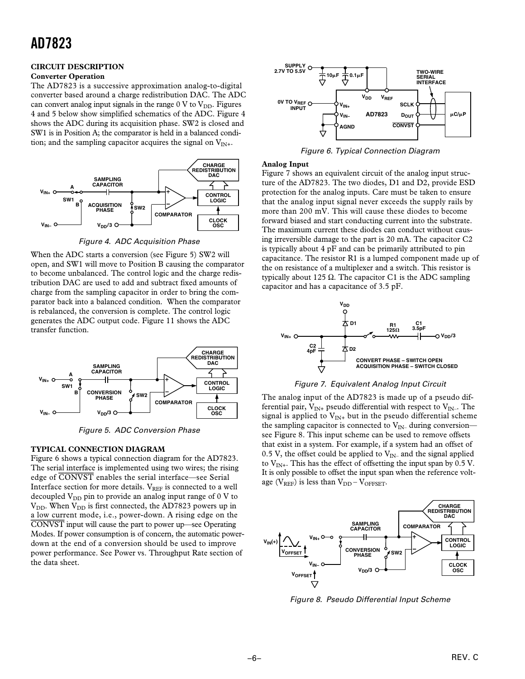# **CIRCUIT DESCRIPTION**

# **Converter Operation**

The AD7823 is a successive approximation analog-to-digital converter based around a charge redistribution DAC. The ADC can convert analog input signals in the range  $0 \text{ V}$  to  $V_{\text{DD}}$ . Figures 4 and 5 below show simplified schematics of the ADC. Figure 4 shows the ADC during its acquisition phase. SW2 is closed and SW1 is in Position A; the comparator is held in a balanced condition; and the sampling capacitor acquires the signal on  $V_{IN+}$ .



Figure 4. ADC Acquisition Phase

When the ADC starts a conversion (see Figure 5) SW2 will open, and SW1 will move to Position B causing the comparator to become unbalanced. The control logic and the charge redistribution DAC are used to add and subtract fixed amounts of charge from the sampling capacitor in order to bring the comparator back into a balanced condition. When the comparator is rebalanced, the conversion is complete. The control logic generates the ADC output code. Figure 11 shows the ADC transfer function.



Figure 5. ADC Conversion Phase

#### **TYPICAL CONNECTION DIAGRAM**

Figure 6 shows a typical connection diagram for the AD7823. The serial interface is implemented using two wires; the rising edge of *CONVST* enables the serial interface—see Serial Interface section for more details. VREF is connected to a well decoupled  $V_{DD}$  pin to provide an analog input range of 0 V to  $V_{DD}$ . When  $V_{DD}$  is first connected, the AD7823 powers up in a low current mode, i.e., power-down. A rising edge on the *CONVST* input will cause the part to power up—see Operating Modes. If power consumption is of concern, the automatic powerdown at the end of a conversion should be used to improve power performance. See Power vs. Throughput Rate section of the data sheet.



Figure 6. Typical Connection Diagram

#### **Analog Input**

Figure 7 shows an equivalent circuit of the analog input structure of the AD7823. The two diodes, D1 and D2, provide ESD protection for the analog inputs. Care must be taken to ensure that the analog input signal never exceeds the supply rails by more than 200 mV. This will cause these diodes to become forward biased and start conducting current into the substrate. The maximum current these diodes can conduct without causing irreversible damage to the part is 20 mA. The capacitor C2 is typically about 4 pF and can be primarily attributed to pin capacitance. The resistor R1 is a lumped component made up of the on resistance of a multiplexer and a switch. This resistor is typically about 125  $Ω$ . The capacitor C1 is the ADC sampling capacitor and has a capacitance of 3.5 pF.





The analog input of the AD7823 is made up of a pseudo differential pair,  $V_{IN+}$  pseudo differential with respect to  $V_{IN-}$ . The signal is applied to  $V_{IN+}$  but in the pseudo differential scheme the sampling capacitor is connected to  $V_{\text{IN}-}$  during conversionsee Figure 8. This input scheme can be used to remove offsets that exist in a system. For example, if a system had an offset of 0.5 V, the offset could be applied to  $V_{IN}$  and the signal applied to  $V_{IN+}$ . This has the effect of offsetting the input span by 0.5 V. It is only possible to offset the input span when the reference voltage ( $V_{REF}$ ) is less than  $V_{DD} - V_{OFFSET}$ .



Figure 8. Pseudo Differential Input Scheme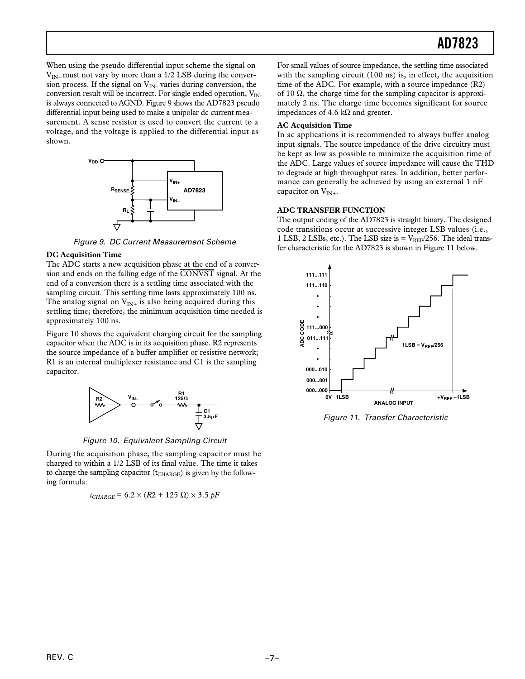When using the pseudo differential input scheme the signal on  $V_{IN}$  must not vary by more than a 1/2 LSB during the conversion process. If the signal on  $V_{IN}$  varies during conversion, the conversion result will be incorrect. For single ended operation,  $V_{IN}$ is always connected to AGND. Figure 9 shows the AD7823 pseudo differential input being used to make a unipolar dc current measurement. A sense resistor is used to convert the current to a voltage, and the voltage is applied to the differential input as shown.



Figure 9. DC Current Measurement Scheme

#### **DC Acquisition Time**

The ADC starts a new acquisition phase at the end of a conversion and ends on the falling edge of the *CONVST* signal. At the end of a conversion there is a settling time associated with the sampling circuit. This settling time lasts approximately 100 ns. The analog signal on  $V_{IN+}$  is also being acquired during this settling time; therefore, the minimum acquisition time needed is approximately 100 ns.

Figure 10 shows the equivalent charging circuit for the sampling capacitor when the ADC is in its acquisition phase. R2 represents the source impedance of a buffer amplifier or resistive network; R1 is an internal multiplexer resistance and C1 is the sampling capacitor.



Figure 10. Equivalent Sampling Circuit

During the acquisition phase, the sampling capacitor must be charged to within a 1/2 LSB of its final value. The time it takes to charge the sampling capacitor  $(t_{CHARGE})$  is given by the following formula:

$$
t_{CHARGE} = 6.2 \times (R2 + 125 \Omega) \times 3.5 \, pF
$$

For small values of source impedance, the settling time associated with the sampling circuit (100 ns) is, in effect, the acquisition time of the ADC. For example, with a source impedance (R2) of 10  $\Omega$ , the charge time for the sampling capacitor is approximately 2 ns. The charge time becomes significant for source impedances of 4.6 kΩ and greater.

## **AC Acquisition Time**

In ac applications it is recommended to always buffer analog input signals. The source impedance of the drive circuitry must be kept as low as possible to minimize the acquisition time of the ADC. Large values of source impedance will cause the THD to degrade at high throughput rates. In addition, better performance can generally be achieved by using an external 1 nF capacitor on  $V_{IN+}$ .

# **ADC TRANSFER FUNCTION**

The output coding of the AD7823 is straight binary. The designed code transitions occur at successive integer LSB values (i.e., 1 LSB, 2 LSBs, etc.). The LSB size is  $=$   $V_{REF}/256$ . The ideal transfer characteristic for the AD7823 is shown in Figure 11 below.



Figure 11. Transfer Characteristic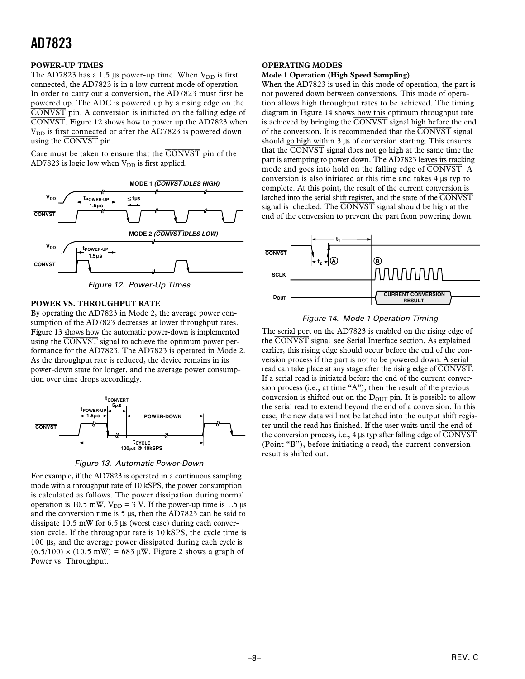# **POWER-UP TIMES**

The AD7823 has a 1.5 µs power-up time. When  $V_{DD}$  is first connected, the AD7823 is in a low current mode of operation. In order to carry out a conversion, the AD7823 must first be powered up. The ADC is powered up by a rising edge on the *CONVST* pin. A conversion is initiated on the falling edge of *CONVST*. Figure 12 shows how to power up the AD7823 when V<sub>DD</sub> is first connected or after the AD7823 is powered down using the *CONVST* pin.

Care must be taken to ensure that the *CONVST* pin of the AD7823 is logic low when  $V_{DD}$  is first applied.

![](_page_7_Figure_4.jpeg)

Figure 12. Power-Up Times

#### **POWER VS. THROUGHPUT RATE**

By operating the AD7823 in Mode 2, the average power consumption of the AD7823 decreases at lower throughput rates. Figure 13 shows how the automatic power-down is implemented using the *CONVST* signal to achieve the optimum power performance for the AD7823. The AD7823 is operated in Mode 2. As the throughput rate is reduced, the device remains in its power-down state for longer, and the average power consumption over time drops accordingly.

![](_page_7_Figure_8.jpeg)

Figure 13. Automatic Power-Down

For example, if the AD7823 is operated in a continuous sampling mode with a throughput rate of 10 kSPS, the power consumption is calculated as follows. The power dissipation during normal operation is 10.5 mW,  $V_{DD} = 3$  V. If the power-up time is 1.5 µs and the conversion time is 5 µs, then the AD7823 can be said to dissipate 10.5 mW for 6.5 µs (worst case) during each conversion cycle. If the throughput rate is 10 kSPS, the cycle time is 100 µs, and the average power dissipated during each cycle is  $(6.5/100) \times (10.5 \text{ mW}) = 683 \text{ µW}$ . Figure 2 shows a graph of Power vs. Throughput.

# **OPERATING MODES**

#### **Mode 1 Operation (High Speed Sampling)**

When the AD7823 is used in this mode of operation, the part is not powered down between conversions. This mode of operation allows high throughput rates to be achieved. The timing diagram in Figure 14 shows how this optimum throughput rate is achieved by bringing the *CONVST* signal high before the end of the conversion. It is recommended that the *CONVST* signal should go high within 3 µs of conversion starting. This ensures that the *CONVST* signal does not go high at the same time the part is attempting to power down. The AD7823 leaves its tracking mode and goes into hold on the falling edge of *CONVST*. A conversion is also initiated at this time and takes 4 µs typ to complete. At this point, the result of the current conversion is latched into the serial shift register, and the state of the *CONVST* signal is checked. The *CONVST* signal should be high at the end of the conversion to prevent the part from powering down.

![](_page_7_Figure_14.jpeg)

## Figure 14. Mode 1 Operation Timing

The serial port on the AD7823 is enabled on the rising edge of the *CONVST* signal–see Serial Interface section. As explained earlier, this rising edge should occur before the end of the conversion process if the part is not to be powered down. A serial read can take place at any stage after the rising edge of *CONVST*. If a serial read is initiated before the end of the current conversion process (i.e., at time "A"), then the result of the previous conversion is shifted out on the  $D_{\text{OUT}}$  pin. It is possible to allow the serial read to extend beyond the end of a conversion. In this case, the new data will not be latched into the output shift register until the read has finished. If the user waits until the end of the conversion process, i.e., 4 µs typ after falling edge of *CONVST* (Point "B"), before initiating a read, the current conversion result is shifted out.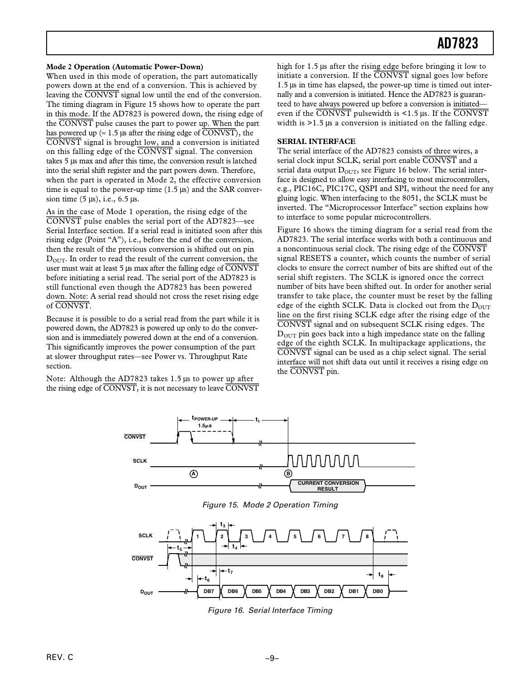#### **Mode 2 Operation (Automatic Power-Down)**

When used in this mode of operation, the part automatically powers down at the end of a conversion. This is achieved by leaving the *CONVST* signal low until the end of the conversion. The timing diagram in Figure 15 shows how to operate the part in this mode. If the AD7823 is powered down, the rising edge of the *CONVST* pulse causes the part to power up. When the part has powered up ( $\approx 1.5$  µs after the rising edge of  $\overline{CONVST}$ ), the *CONVST* signal is brought low, and a conversion is initiated on this falling edge of the *CONVST* signal. The conversion takes 5 µs max and after this time, the conversion result is latched into the serial shift register and the part powers down. Therefore, when the part is operated in Mode 2, the effective conversion time is equal to the power-up time  $(1.5 \mu s)$  and the SAR conversion time  $(5 \mu s)$ , i.e.,  $6.5 \mu s$ .

As in the case of Mode 1 operation, the rising edge of the *CONVST* pulse enables the serial port of the AD7823—see Serial Interface section. If a serial read is initiated soon after this rising edge (Point "A"), i.e., before the end of the conversion, then the result of the previous conversion is shifted out on pin  $D_{\text{OUT}}$ . In order to read the result of the current conversion, the user must wait at least 5 µs max after the falling edge of *CONVST* before initiating a serial read. The serial port of the AD7823 is still functional even though the AD7823 has been powered down. Note: A serial read should not cross the reset rising edge of *CONVST*.

Because it is possible to do a serial read from the part while it is powered down, the AD7823 is powered up only to do the conversion and is immediately powered down at the end of a conversion. This significantly improves the power consumption of the part at slower throughput rates—see Power vs. Throughput Rate section.

Note: Although the AD7823 takes 1.5 µs to power up after the rising edge of *CONVST*, it is not necessary to leave *CONVST* high for 1.5 µs after the rising edge before bringing it low to initiate a conversion. If the *CONVST* signal goes low before 1.5 µs in time has elapsed, the power-up time is timed out internally and a conversion is initiated. Hence the AD7823 is guaranteed to have always powered up before a conversion is initiated even if the *CONVST* pulsewidth is <1.5 µs. If the *CONVST* width is  $>1.5$  µs a conversion is initiated on the falling edge.

## **SERIAL INTERFACE**

The serial interface of the AD7823 consists of three wires, a serial clock input SCLK, serial port enable *CONVST* and a serial data output  $D_{\text{OUT}}$ , see Figure 16 below. The serial interface is designed to allow easy interfacing to most microcontrollers, e.g., PIC16C, PIC17C, QSPI and SPI, without the need for any gluing logic. When interfacing to the 8051, the SCLK must be inverted. The "Microprocessor Interface" section explains how to interface to some popular microcontrollers.

Figure 16 shows the timing diagram for a serial read from the AD7823. The serial interface works with both a continuous and a noncontinuous serial clock. The rising edge of the *CONVST* signal RESETS a counter, which counts the number of serial clocks to ensure the correct number of bits are shifted out of the serial shift registers. The SCLK is ignored once the correct number of bits have been shifted out. In order for another serial transfer to take place, the counter must be reset by the falling edge of the eighth SCLK. Data is clocked out from the  $D_{\text{OUT}}$ line on the first rising SCLK edge after the rising edge of the *CONVST* signal and on subsequent SCLK rising edges. The  $D<sub>OUT</sub>$  pin goes back into a high impedance state on the falling edge of the eighth SCLK. In multipackage applications, the *CONVST* signal can be used as a chip select signal. The serial interface will not shift data out until it receives a rising edge on the *CONVST* pin.

![](_page_8_Figure_10.jpeg)

Figure 15. Mode 2 Operation Timing

![](_page_8_Figure_12.jpeg)

Figure 16. Serial Interface Timing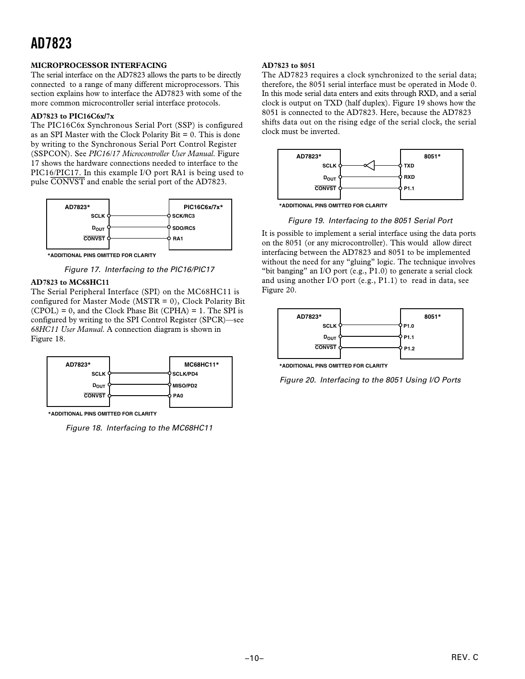# **MICROPROCESSOR INTERFACING**

The serial interface on the AD7823 allows the parts to be directly connected to a range of many different microprocessors. This section explains how to interface the AD7823 with some of the more common microcontroller serial interface protocols.

## **AD7823 to PIC16C6x/7x**

The PIC16C6x Synchronous Serial Port (SSP) is configured as an SPI Master with the Clock Polarity Bit  $= 0$ . This is done by writing to the Synchronous Serial Port Control Register (SSPCON). See *PIC16/17 Microcontroller User Manual*. Figure 17 shows the hardware connections needed to interface to the PIC16/PIC17. In this example I/O port RA1 is being used to pulse *CONVST* and enable the serial port of the AD7823.

![](_page_9_Figure_5.jpeg)

**\*ADDITIONAL PINS OMITTED FOR CLARITY**

Figure 17. Interfacing to the PIC16/PIC17

#### **AD7823 to MC68HC11**

The Serial Peripheral Interface (SPI) on the MC68HC11 is configured for Master Mode (MSTR = 0), Clock Polarity Bit  $(CPOL) = 0$ , and the Clock Phase Bit  $(CPHA) = 1$ . The SPI is configured by writing to the SPI Control Register (SPCR)—see *68HC11 User Manual*. A connection diagram is shown in Figure 18.

![](_page_9_Figure_10.jpeg)

**\*ADDITIONAL PINS OMITTED FOR CLARITY**

Figure 18. Interfacing to the MC68HC11

# **AD7823 to 8051**

The AD7823 requires a clock synchronized to the serial data; therefore, the 8051 serial interface must be operated in Mode 0. In this mode serial data enters and exits through RXD, and a serial clock is output on TXD (half duplex). Figure 19 shows how the 8051 is connected to the AD7823. Here, because the AD7823 shifts data out on the rising edge of the serial clock, the serial clock must be inverted.

![](_page_9_Figure_15.jpeg)

**\*ADDITIONAL PINS OMITTED FOR CLARITY**

Figure 19. Interfacing to the 8051 Serial Port

It is possible to implement a serial interface using the data ports on the 8051 (or any microcontroller). This would allow direct interfacing between the AD7823 and 8051 to be implemented without the need for any "gluing" logic. The technique involves "bit banging" an I/O port (e.g., P1.0) to generate a serial clock and using another I/O port (e.g., P1.1) to read in data, see Figure 20.

![](_page_9_Figure_19.jpeg)

**\*ADDITIONAL PINS OMITTED FOR CLARITY**

Figure 20. Interfacing to the 8051 Using I/O Ports